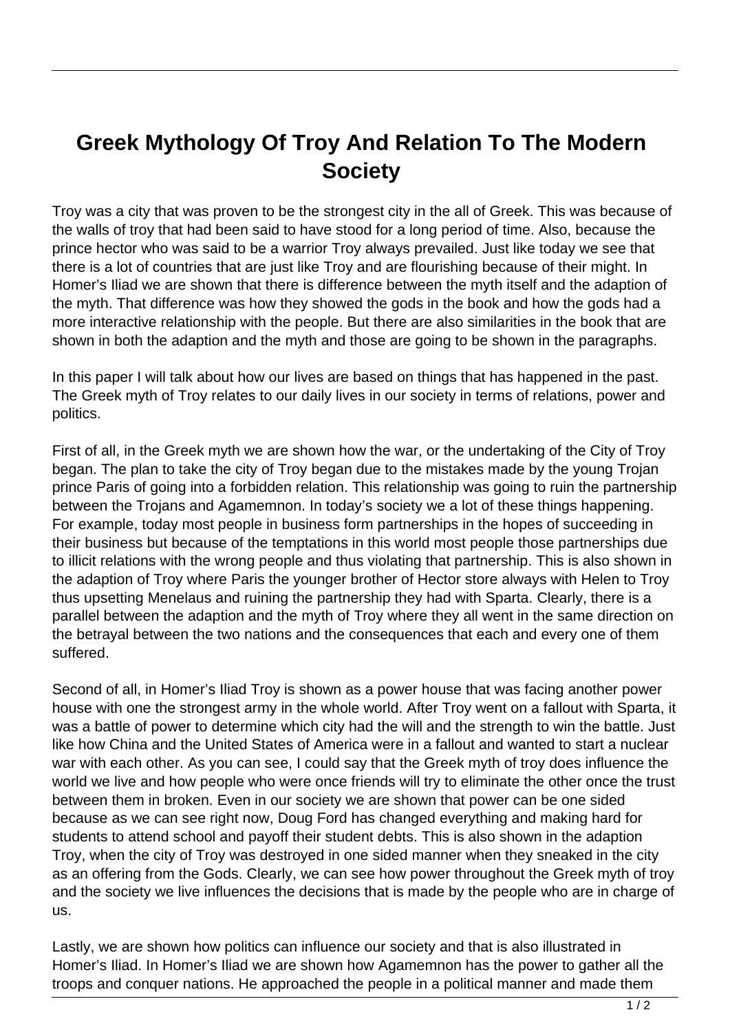## **Greek Mythology Of Troy And Relation To The Modern Society**

Troy was a city that was proven to be the strongest city in the all of Greek. This was because of the walls of troy that had been said to have stood for a long period of time. Also, because the prince hector who was said to be a warrior Troy always prevailed. Just like today we see that there is a lot of countries that are just like Troy and are flourishing because of their might. In Homer's Iliad we are shown that there is difference between the myth itself and the adaption of the myth. That difference was how they showed the gods in the book and how the gods had a more interactive relationship with the people. But there are also similarities in the book that are shown in both the adaption and the myth and those are going to be shown in the paragraphs.

In this paper I will talk about how our lives are based on things that has happened in the past. The Greek myth of Troy relates to our daily lives in our society in terms of relations, power and politics.

First of all, in the Greek myth we are shown how the war, or the undertaking of the City of Troy began. The plan to take the city of Troy began due to the mistakes made by the young Trojan prince Paris of going into a forbidden relation. This relationship was going to ruin the partnership between the Trojans and Agamemnon. In today's society we a lot of these things happening. For example, today most people in business form partnerships in the hopes of succeeding in their business but because of the temptations in this world most people those partnerships due to illicit relations with the wrong people and thus violating that partnership. This is also shown in the adaption of Troy where Paris the younger brother of Hector store always with Helen to Troy thus upsetting Menelaus and ruining the partnership they had with Sparta. Clearly, there is a parallel between the adaption and the myth of Troy where they all went in the same direction on the betrayal between the two nations and the consequences that each and every one of them suffered.

Second of all, in Homer's Iliad Troy is shown as a power house that was facing another power house with one the strongest army in the whole world. After Troy went on a fallout with Sparta, it was a battle of power to determine which city had the will and the strength to win the battle. Just like how China and the United States of America were in a fallout and wanted to start a nuclear war with each other. As you can see, I could say that the Greek myth of troy does influence the world we live and how people who were once friends will try to eliminate the other once the trust between them in broken. Even in our society we are shown that power can be one sided because as we can see right now, Doug Ford has changed everything and making hard for students to attend school and payoff their student debts. This is also shown in the adaption Troy, when the city of Troy was destroyed in one sided manner when they sneaked in the city as an offering from the Gods. Clearly, we can see how power throughout the Greek myth of troy and the society we live influences the decisions that is made by the people who are in charge of us.

Lastly, we are shown how politics can influence our society and that is also illustrated in Homer's Iliad. In Homer's Iliad we are shown how Agamemnon has the power to gather all the troops and conquer nations. He approached the people in a political manner and made them